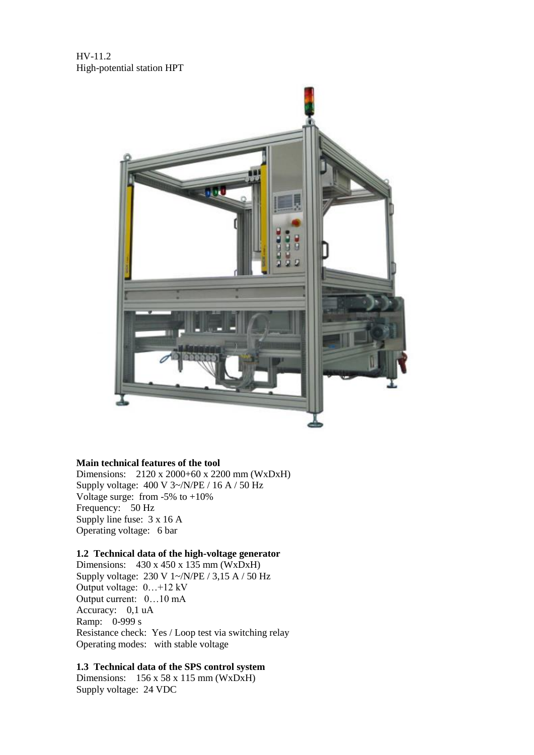HV-11.2 High-potential station HPT



#### **Main technical features of the tool**

Dimensions: 2120 x 2000+60 x 2200 mm (WxDxH) Supply voltage:  $400 \text{ V } 3 \text{-} / \text{N/PE}$  / 16 A / 50 Hz Voltage surge: from -5% to +10% Frequency: 50 Hz Supply line fuse: 3 x 16 A Operating voltage: 6 bar

# **1.2 Technical data of the high-voltage generator**

Dimensions: 430 x 450 x 135 mm (WxDxH) Supply voltage: 230 V 1~/N/PE / 3,15 A / 50 Hz Output voltage: 0…+12 kV Output current: 0…10 mA Accuracy: 0,1 uA Ramp: 0-999 s Resistance check: Yes / Loop test via switching relay Operating modes: with stable voltage

## **1.3 Technical data of the SPS control system**

Dimensions: 156 x 58 x 115 mm (WxDxH) Supply voltage: 24 VDC